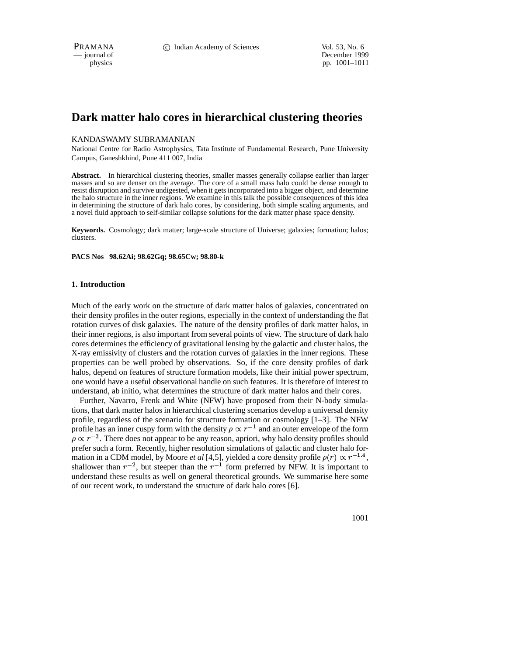PRAMANA **C** Indian Academy of Sciences Vol. 53, No. 6

# **Dark matter halo cores in hierarchical clustering theories**

# KANDASWAMY SUBRAMANIAN

National Centre for Radio Astrophysics, Tata Institute of Fundamental Research, Pune University Campus, Ganeshkhind, Pune 411 007, India

**Abstract.** In hierarchical clustering theories, smaller masses generally collapse earlier than larger masses and so are denser on the average. The core of a small mass halo could be dense enough to resist disruption and survive undigested, when it gets incorporated into a bigger object, and determine the halo structure in the inner regions. We examine in this talk the possible consequences of this idea in determining the structure of dark halo cores, by considering, both simple scaling arguments, and a novel fluid approach to self-similar collapse solutions for the dark matter phase space density.

**Keywords.** Cosmology; dark matter; large-scale structure of Universe; galaxies; formation; halos; clusters.

**PACS Nos 98.62Ai; 98.62Gq; 98.65Cw; 98.80-k**

# **1. Introduction**

Much of the early work on the structure of dark matter halos of galaxies, concentrated on their density profiles in the outer regions, especially in the context of understanding the flat rotation curves of disk galaxies. The nature of the density profiles of dark matter halos, in their inner regions, is also important from several points of view. The structure of dark halo cores determines the efficiency of gravitational lensing by the galactic and cluster halos, the X-ray emissivity of clusters and the rotation curves of galaxies in the inner regions. These properties can be well probed by observations. So, if the core density profiles of dark halos, depend on features of structure formation models, like their initial power spectrum, one would have a useful observational handle on such features. It is therefore of interest to understand, ab initio, what determines the structure of dark matter halos and their cores.

Further, Navarro, Frenk and White (NFW) have proposed from their N-body simulations, that dark matter halos in hierarchical clustering scenarios develop a universal density profile, regardless of the scenario for structure formation or cosmology [1–3]. The NFW profile has an inner cuspy form with the density  $\rho \propto r^{-1}$  and an outer envelope of the form  $\rho \propto r^{-3}$ . There does not appear to be any reason, apriori, why halo density profiles should prefer such a form. Recently, higher resolution simulations of galactic and cluster halo formation in a CDM model, by Moore *et al* [4,5], yielded a core density profile  $\rho(r) \propto r^{-1.4}$ , shallower than  $r^{-2}$ , but steeper than the  $r^{-1}$  form preferred by NFW. It is important to understand these results as well on general theoretical grounds. We summarise here some of our recent work, to understand the structure of dark halo cores [6].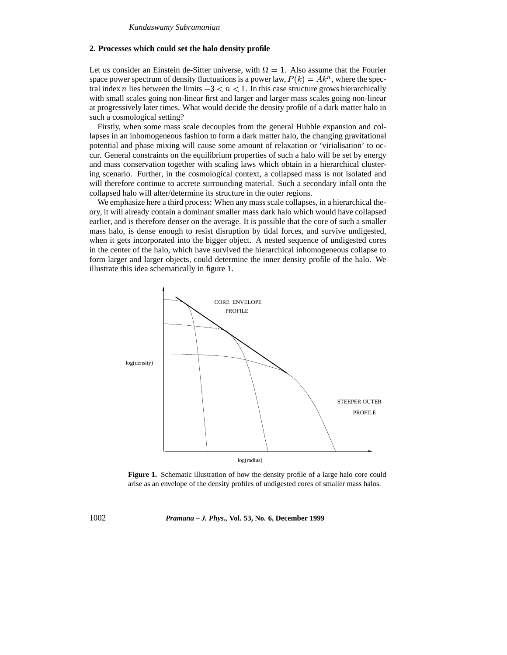# **2. Processes which could set the halo density profile**

Let us consider an Einstein de-Sitter universe, with  $\Omega = 1$ . Also assume that the Fourier space power spectrum of density fluctuations is a power law,  $P(k) = Ak^n$ , where the spectral index n lies between the limits  $-3 < n < 1$ . In this case structure grows hierarchically with small scales going non-linear first and larger and larger mass scales going non-linear at progressively later times. What would decide the density profile of a dark matter halo in such a cosmological setting?

Firstly, when some mass scale decouples from the general Hubble expansion and collapses in an inhomogeneous fashion to form a dark matter halo, the changing gravitational potential and phase mixing will cause some amount of relaxation or 'virialisation' to occur. General constraints on the equilibrium properties of such a halo will be set by energy and mass conservation together with scaling laws which obtain in a hierarchical clustering scenario. Further, in the cosmological context, a collapsed mass is not isolated and will therefore continue to accrete surrounding material. Such a secondary infall onto the collapsed halo will alter/determine its structure in the outer regions.

We emphasize here a third process: When any mass scale collapses, in a hierarchical theory, it will already contain a dominant smaller mass dark halo which would have collapsed earlier, and is therefore denser on the average. It is possible that the core of such a smaller mass halo, is dense enough to resist disruption by tidal forces, and survive undigested, when it gets incorporated into the bigger object. A nested sequence of undigested cores in the center of the halo, which have survived the hierarchical inhomogeneous collapse to form larger and larger objects, could determine the inner density profile of the halo. We illustrate this idea schematically in figure 1.



**Figure 1.** Schematic illustration of how the density profile of a large halo core could arise as an envelope of the density profiles of undigested cores of smaller mass halos.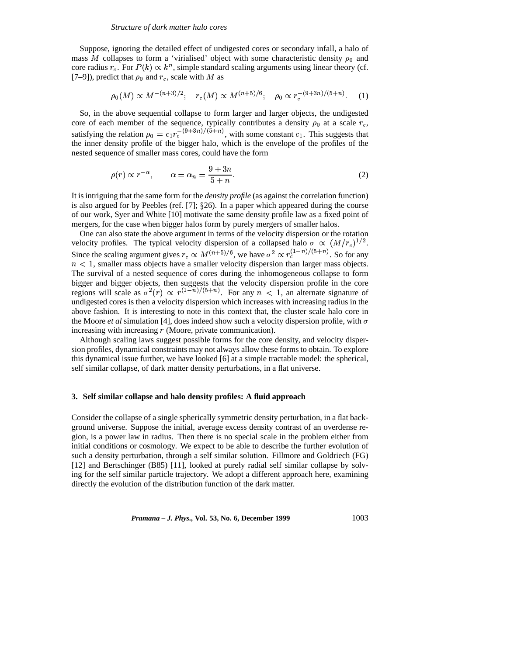Suppose, ignoring the detailed effect of undigested cores or secondary infall, a halo of mass M collapses to form a 'virialised' object with some characteristic density  $\rho_0$  and core radius  $r_c$ . For  $P(k) \propto k^n$ , simple standard scaling arguments using linear theory (cf. [7–9]), predict that  $\rho_0$  and  $r_c$ , scale with M as

$$
\rho_0(M) \propto M^{-(n+3)/2}
$$
;  $r_c(M) \propto M^{(n+5)/6}$ ;  $\rho_0 \propto r_c^{-(9+3n)/(5+n)}$ . (1)

So, in the above sequential collapse to form larger and larger objects, the undigested core of each member of the sequence, typically contributes a density  $\rho_0$  at a scale  $r_c$ , satisfying the relation  $\rho_0 = c_1 r_c^{-(9+3n)/(3+n)}$ , with some constant  $c_1$ . This suggests that the inner density profile of the bigger halo, which is the envelope of the profiles of the nested sequence of smaller mass cores, could have the form

$$
\rho(r) \propto r^{-\alpha}, \qquad \alpha = \alpha_n = \frac{9+3n}{5+n}.\tag{2}
$$

It is intriguing that the same form for the *density profile* (as against the correlation function) is also argued for by Peebles (ref. [7];  $\S 26$ ). In a paper which appeared during the course of our work, Syer and White [10] motivate the same density profile law as a fixed point of mergers, for the case when bigger halos form by purely mergers of smaller halos.

One can also state the above argument in terms of the velocity dispersion or the rotation velocity profiles. The typical velocity dispersion of a collapsed halo  $\sigma \propto (M/r_c)^{1/2}$ . Since the scaling argument gives  $r_c \propto M^{(n+5)/6}$ , we have  $\sigma^2 \propto r_c^{(1-n)/(9+n)}$ . So for any  $n < 1$ , smaller mass objects have a smaller velocity dispersion than larger mass objects. The survival of a nested sequence of cores during the inhomogeneous collapse to form bigger and bigger objects, then suggests that the velocity dispersion profile in the core regions will scale as  $\sigma^2(r) \propto r^{(1-n)/(5+n)}$ . For any  $n < 1$ , an alternate signature of undigested cores is then a velocity dispersion which increases with increasing radius in the above fashion. It is interesting to note in this context that, the cluster scale halo core in the Moore *et al* simulation [4], does indeed show such a velocity dispersion profile, with  $\sigma$ increasing with increasing  $r$  (Moore, private communication).

Although scaling laws suggest possible forms for the core density, and velocity dispersion profiles, dynamical constraints may not always allow these forms to obtain. To explore this dynamical issue further, we have looked [6] at a simple tractable model: the spherical, self similar collapse, of dark matter density perturbations, in a flat universe.

# **3. Self similar collapse and halo density profiles: A fluid approach**

Consider the collapse of a single spherically symmetric density perturbation, in a flat background universe. Suppose the initial, average excess density contrast of an overdense region, is a power law in radius. Then there is no special scale in the problem either from initial conditions or cosmology. We expect to be able to describe the further evolution of such a density perturbation, through a self similar solution. Fillmore and Goldriech (FG) [12] and Bertschinger (B85) [11], looked at purely radial self similar collapse by solving for the self similar particle trajectory. We adopt a different approach here, examining directly the evolution of the distribution function of the dark matter.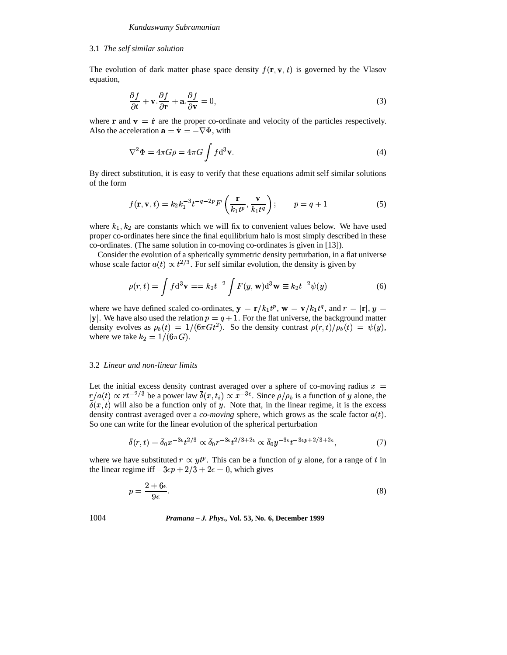#### 3.1 *The self similar solution*

The evolution of dark matter phase space density  $f(\mathbf{r}, \mathbf{v}, t)$  is governed by the Vlasov equation,

$$
\frac{\partial f}{\partial t} + \mathbf{v} \cdot \frac{\partial f}{\partial \mathbf{r}} + \mathbf{a} \cdot \frac{\partial f}{\partial \mathbf{v}} = 0,
$$
\n(3)

where **r** and  $v = \dot{r}$  are the proper co-ordinate and velocity of the particles respectively. Also the acceleration  $\mathbf{a} = \dot{\mathbf{v}} = -\nabla \Phi$ , with

$$
\nabla^2 \Phi = 4\pi G \rho = 4\pi G \int f \mathrm{d}^3 \mathbf{v}.
$$
 (4)

By direct substitution, it is easy to verify that these equations admit self similar solutions of the form

$$
f(\mathbf{r}, \mathbf{v}, t) = k_2 k_1^{-3} t^{-q-2p} F\left(\frac{\mathbf{r}}{k_1 t^p}, \frac{\mathbf{v}}{k_1 t^q}\right); \qquad p = q + 1 \tag{5}
$$

where  $k_1, k_2$  are constants which we will fix to convenient values below. We have used proper co-ordinates here since the final equilibrium halo is most simply described in these co-ordinates. (The same solution in co-moving co-ordinates is given in [13]).

Consider the evolution of a spherically symmetric density perturbation, in a flat universe whose scale factor  $a(t) \propto t^{2/3}$ . For self similar evolution, the density is given by

$$
\rho(r,t) = \int f \mathrm{d}^3 \mathbf{v} = k_2 t^{-2} \int F(y, \mathbf{w}) \mathrm{d}^3 \mathbf{w} \equiv k_2 t^{-2} \psi(y) \tag{6}
$$

where we have defined scaled co-ordinates,  $y = \mathbf{r}/k_1 t^p$ ,  $\mathbf{w} = \mathbf{v}/k_1 t^q$ , and  $r = |\mathbf{r}|$ ,  $y =$  $|{\bf y}|$ . We have also used the relation  $p = q + 1$ . For the flat universe, the background matter density evolves as  $\rho_b(t) = 1/(6\pi G t^2)$ . So the density contrast  $\rho(r, t)/\rho_b(t) = \psi(y)$ , where we take  $k_2 = 1/(6\pi G)$ .

## 3.2 *Linear and non-linear limits*

Let the initial excess density contrast averaged over a sphere of co-moving radius  $x =$  $r/a(t) \propto r t^{-2/3}$  be a power law  $\delta(x, t_i) \propto x^{-3\epsilon}$ . Since  $\rho/\rho_b$  is a function of y alone, the  $\delta(x, t)$  will also be a function only of y. Note that, in the linear regime, it is the excess density contrast averaged over a *co-moving* sphere, which grows as the scale factor  $a(t)$ . So one can write for the linear evolution of the spherical perturbation

$$
\bar{\delta}(r,t) = \bar{\delta}_0 x^{-3\epsilon} t^{2/3} \propto \bar{\delta}_0 r^{-3\epsilon} t^{2/3+2\epsilon} \propto \bar{\delta}_0 y^{-3\epsilon} t^{-3\epsilon p + 2/3 + 2\epsilon},\tag{7}
$$

where we have substituted  $r \propto y t^p$ . This can be a function of y alone, for a range of t in the linear regime iff  $-3\epsilon p+2/3+2\epsilon=0$ , which gives

$$
p = \frac{2 + 6\epsilon}{9\epsilon}.\tag{8}
$$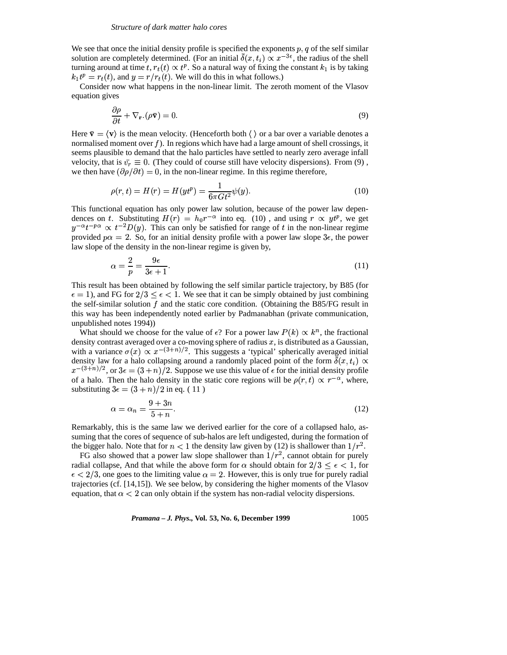We see that once the initial density profile is specified the exponents  $p, q$  of the self similar solution are completely determined. (For an initial  $\delta(x, t_i) \propto x^{-3\epsilon}$ , the radius of the shell turning around at time t,  $r_t(t) \propto t^p$ . So a natural way of fixing the constant  $k_1$  is by taking  $k_1 t^p = r_t(t)$ , and  $y = r/r_t(t)$ . We will do this in what follows.)

Consider now what happens in the non-linear limit. The zeroth moment of the Vlasov equation gives<sup>f</sup>

$$
\frac{\partial \rho}{\partial t} + \nabla_{\mathbf{r}} \cdot (\rho \bar{\mathbf{v}}) = 0. \tag{9}
$$

Here  $\bar{\mathbf{v}} = \langle \mathbf{v} \rangle$  is the mean velocity. (Henceforth both  $\langle \rangle$  or a bar over a variable denotes a normalised moment over  $f$ ). In regions which have had a large amount of shell crossings, it seems plausible to demand that the halo particles have settled to nearly zero average infall velocity, that is  $\bar{v}_r \equiv 0$ . (They could of course still have velocity dispersions). From (9), velocity, that is  $\bar{v_r} \equiv 0$ . (They could of course still have velocity dispersions) we then have  $(\partial \rho/\partial t) = 0$ , in the non-linear regime. In this regime therefore,

$$
\rho(r,t) = H(r) = H(yt^p) = \frac{1}{6\pi G t^2} \psi(y).
$$
\n(10)

This functional equation has only power law solution, because of the power law dependences on t. Substituting  $H(r) = h_0 r^{-\alpha}$  into eq. (10), and using  $r \propto y t^p$ , we get  $y^{-\alpha}t^{-p\alpha} \propto t^{-2}D(y)$ . This can only be satisfied for range of t in the non-linear regime provided  $p\alpha = 2$ . So, for an initial density profile with a power law slope  $3\epsilon$ , the power law slope of the density in the non-linear regime is given by,

$$
\alpha = \frac{2}{p} = \frac{9\epsilon}{3\epsilon + 1}.\tag{11}
$$

This result has been obtained by following the self similar particle trajectory, by B85 (for  $\epsilon = 1$ ), and FG for  $2/3 \leq \epsilon < 1$ . We see that it can be simply obtained by just combining the self-similar solution  $f$  and the static core condition. (Obtaining the B85/FG result in this way has been independently noted earlier by Padmanabhan (private communication, unpublished notes 1994))

What should we choose for the value of  $\epsilon$ ? For a power law  $P(k) \propto k^n$ , the fractional density contrast averaged over a co-moving sphere of radius  $x$ , is distributed as a Gaussian, with a variance  $\sigma(x) \propto x^{-(3+n)/2}$ . This suggests a 'typical' spherically averaged initial density law for a halo collapsing around a randomly placed point of the form  $\delta(x, t_i) \propto$  $x^{-(3+n)/2}$ , or  $3\epsilon = (3+n)/2$ . Suppose we use this value of  $\epsilon$  for the initial density profile of a halo. Then the halo density in the static core regions will be  $\rho(r,t) \propto r^{-\alpha}$ , where, substituting  $3\epsilon = (3+n)/2$  in eq. (11)

$$
\alpha = \alpha_n = \frac{9+3n}{5+n}.\tag{12}
$$

Remarkably, this is the same law we derived earlier for the core of a collapsed halo, assuming that the cores of sequence of sub-halos are left undigested, during the formation of the bigger halo. Note that for  $n < 1$  the density law given by (12) is shallower than  $1/r<sup>2</sup>$ .

FG also showed that a power law slope shallower than  $1/r<sup>2</sup>$ , cannot obtain for purely radial collapse, And that while the above form for  $\alpha$  should obtain for  $2/3 \leq \epsilon \leq 1$ , for  $\epsilon < 2/3$ , one goes to the limiting value  $\alpha = 2$ . However, this is only true for purely radial trajectories (cf. [14,15]). We see below, by considering the higher moments of the Vlasov equation, that  $\alpha < 2$  can only obtain if the system has non-radial velocity dispersions.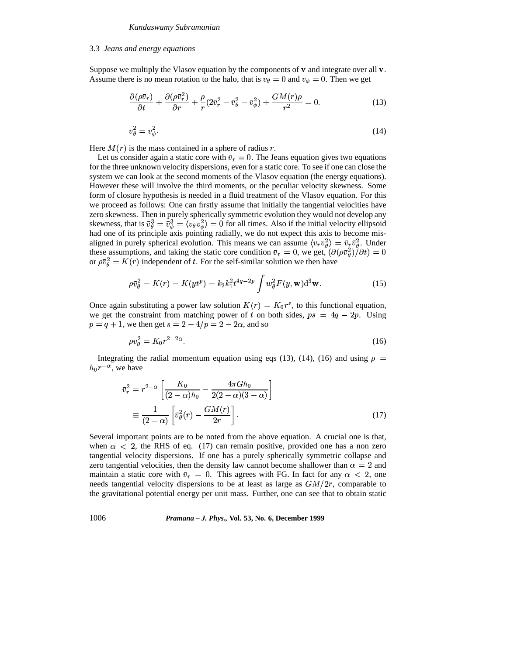#### 3.3 *Jeans and energy equations*

Suppose we multiply the Vlasov equation by the components of  $\bf{v}$  and integrate over all  $\bf{v}$ . Assume there is no mean rotation to the halo, that is  $\bar{v}_{\theta} = 0$  and  $\bar{v}_{\phi} = 0$ . Then we get

$$
\frac{\partial(\rho \bar{v}_r)}{\partial t} + \frac{\partial(\rho \bar{v}_r^2)}{\partial r} + \frac{\rho}{r}(2\bar{v}_r^2 - \bar{v}_\theta^2 - \bar{v}_\phi^2) + \frac{GM(r)\rho}{r^2} = 0.
$$
 (13)

$$
\bar{v}_{\theta}^2 = \bar{v}_{\phi}^2. \tag{14}
$$

Here  $M(r)$  is the mass contained in a sphere of radius r.

Let us consider again a static core with  $\bar{v}_r \equiv 0$ . The Jeans equation gives two equations for the three unknown velocity dispersions, even for a static core. To see if one can close the system we can look at the second moments of the Vlasov equation (the energy equations). However these will involve the third moments, or the peculiar velocity skewness. Some form of closure hypothesis is needed in a fluid treatment of the Vlasov equation. For this we proceed as follows: One can firstly assume that initially the tangential velocities have zero skewness. Then in purely spherically symmetric evolution they would not develop any skewness, that is  $\bar{v}_{\theta}^3 = \bar{v}_{\phi}^3 = \langle v_{\theta} v_{\phi}^2 \rangle = 0$  for all times. Also if the initial velocity ellipsoid had one of its principle axis pointing radially, we do not expect this axis to become misaligned in purely spherical evolution. This means we can assume  $\langle v_r v_{\theta}^2 \rangle = \bar{v}_r \bar{v}_{\theta}^2$ . Under these assumptions, and taking the static core condition  $\bar{v}_r = 0$ , we get,  $(\partial(\rho \bar{v}_s^2)/\partial t) = 0$ aligned in purely spherical evolution. This means we can assume  $\langle v_r v_{\theta}^2 \rangle = \bar{v}_r \bar{v}_{\theta}^2$ . Under these assumptions, and taking the static core condition  $\bar{v}_r = 0$ , we get,  $(\partial(\rho \bar{v}_{\theta}^2)/\partial t) = 0$ or  $\rho \bar{v}_\theta^2 = K(r)$  independent of t. For the self-similar solution we then have

$$
\rho \bar{v}_{\theta}^{2} = K(r) = K(yt^{p}) = k_{2}k_{1}^{2}t^{4q-2p} \int w_{\theta}^{2}F(y, \mathbf{w})d^{3}\mathbf{w}.
$$
 (15)

Once again substituting a power law solution  $K(r) = K_0 r^s$ , to this functional equation, we get the constraint from matching power of t on both sides,  $ps = 4q - 2p$ . Using  $p = q + 1$ , we then get  $s = 2 - 4/p = 2 - 2\alpha$ , and so

$$
\rho \bar{v}_{\theta}^2 = K_0 r^{2-2\alpha}.
$$
\n<sup>(16)</sup>

Integrating the radial momentum equation using eqs (13), (14), (16) and using  $\rho =$  $h_0 r^{-\alpha}$  , we have

$$
\bar{v}_r^2 = r^{2-\alpha} \left[ \frac{K_0}{(2-\alpha)h_0} - \frac{4\pi G h_0}{2(2-\alpha)(3-\alpha)} \right]
$$

$$
\equiv \frac{1}{(2-\alpha)} \left[ \bar{v}_\theta^2(r) - \frac{GM(r)}{2r} \right].
$$
(17)

Several important points are to be noted from the above equation. A crucial one is that, when  $\alpha$  < 2, the RHS of eq. (17) can remain positive, provided one has a non zero tangential velocity dispersions. If one has a purely spherically symmetric collapse and zero tangential velocities, then the density law cannot become shallower than  $\alpha = 2$  and maintain a static core with  $\bar{v}_r = 0$ . This agrees with FG. In fact for any  $\alpha < 2$ , one needs tangential velocity dispersions to be at least as large as  $GM/2r$ , comparable to the gravitational potential energy per unit mass. Further, one can see that to obtain static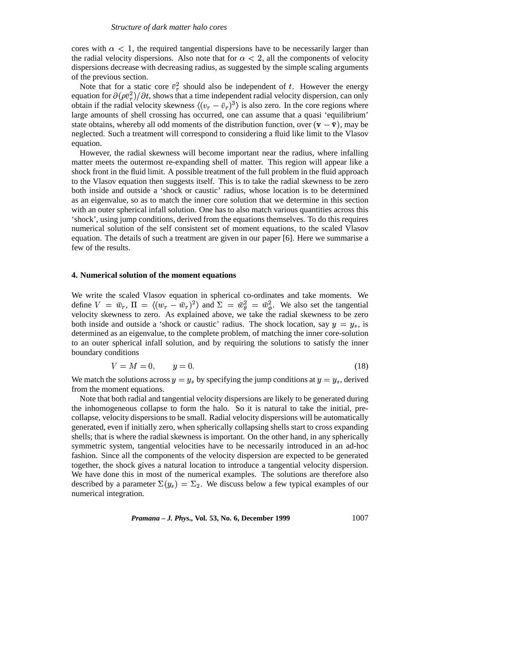cores with  $\alpha < 1$ , the required tangential dispersions have to be necessarily larger than the radial velocity dispersions. Also note that for  $\alpha < 2$ , all the components of velocity dispersions decrease with decreasing radius, as suggested by the simple scaling arguments of the previous section.

Note that for a static core  $\bar{v}_r^2$  should also be independent of t. However the energy uation for  $\partial(\rho \bar{v}_r^2)/\partial t$ , shows that a time independent radial velocity dispersion, can only Note that for a static core  $\bar{v}_r^2$  should also be independent of t. However the energy equation for  $\partial(\rho \bar{v}_r^2)/\partial t$ , shows that a time independent radial velocity dispersion, can only obtain if the radial velocity skewness  $\langle (v_r - \bar{v}_r)^3 \rangle$  is also zero. In the core regions where large amounts of shell crossing has occurred, one can assume that a quasi 'equilibrium' state obtains, whereby all odd moments of the distribution function, over  $(\mathbf{v} - \bar{\mathbf{v}})$ , may be neglected. Such a treatment will correspond to considering a fluid like limit to the Vlasov equation.

However, the radial skewness will become important near the radius, where infalling matter meets the outermost re-expanding shell of matter. This region will appear like a shock front in the fluid limit. A possible treatment of the full problem in the fluid approach to the Vlasov equation then suggests itself. This is to take the radial skewness to be zero both inside and outside a 'shock or caustic' radius, whose location is to be determined as an eigenvalue, so as to match the inner core solution that we determine in this section with an outer spherical infall solution. One has to also match various quantities across this 'shock', using jump conditions, derived from the equations themselves. To do this requires numerical solution of the self consistent set of moment equations, to the scaled Vlasov equation. The details of such a treatment are given in our paper [6]. Here we summarise a few of the results.

# **4. Numerical solution of the moment equations**

We write the scaled Vlasov equation in spherical co-ordinates and take moments. We we write the scaled viasov equation in spherical co-ordinates and take moments. We<br>define  $V = \bar{w}_r$ ,  $\Pi = \langle (w_r - \bar{w}_r)^2 \rangle$  and  $\Sigma = \bar{w}_\theta^2 = \bar{w}_\phi^2$ . We also set the tangential velocity skewness to zero. As explained above, we take the radial skewness to be zero both inside and outside a 'shock or caustic' radius. The shock location, say  $y = y_s$ , is determined as an eigenvalue, to the complete problem, of matching the inner core-solution to an outer spherical infall solution, and by requiring the solutions to satisfy the inner boundary conditions

$$
V = M = 0, \qquad y = 0. \tag{18}
$$

We match the solutions across  $y = y_s$  by specifying the jump conditions at  $y = y_s$ , derived from the moment equations.

Note that both radial and tangential velocity dispersions are likely to be generated during the inhomogeneous collapse to form the halo. So it is natural to take the initial, precollapse, velocity dispersions to be small. Radial velocity dispersions will be automatically generated, even if initially zero, when spherically collapsing shells start to cross expanding shells; that is where the radial skewness is important. On the other hand, in any spherically symmetric system, tangential velocities have to be necessarily introduced in an ad-hoc fashion. Since all the components of the velocity dispersion are expected to be generated together, the shock gives a natural location to introduce a tangential velocity dispersion. We have done this in most of the numerical examples. The solutions are therefore also described by a parameter  $\Sigma(y_s) = \Sigma_2$ . We discuss below a few typical examples of our numerical integration.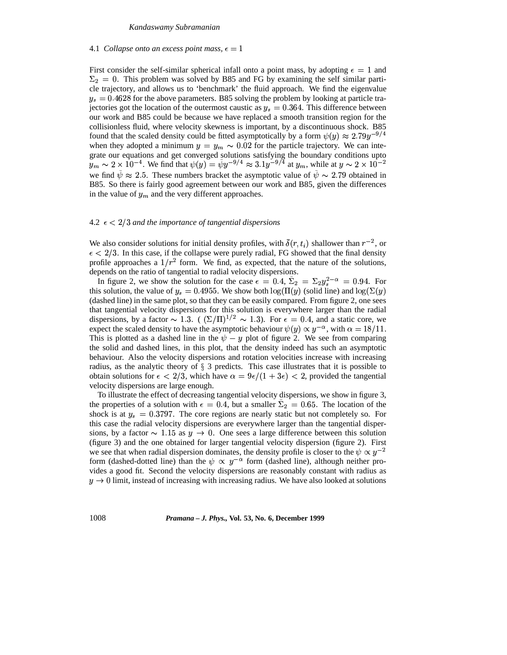#### 4.1 Collapse onto an excess point mass,  $\epsilon = 1$

First consider the self-similar spherical infall onto a point mass, by adopting  $\epsilon = 1$  and  $\Sigma_2 = 0$ . This problem was solved by B85 and FG by examining the self similar particle trajectory, and allows us to 'benchmark' the fluid approach. We find the eigenvalue  $y_s = 0.4628$  for the above parameters. B85 solving the problem by looking at particle trajectories got the location of the outermost caustic as  $y_s = 0.364$ . This difference between our work and B85 could be because we have replaced a smooth transition region for the collisionless fluid, where velocity skewness is important, by a discontinuous shock. B85 found that the scaled density could be fitted asymptotically by a form  $\psi(y) \approx 2.79y^{-9/4}$ when they adopted a minimum  $y = y_m \sim 0.02$  for the particle trajectory. We can integrate our equations and get converged solutions satisfying the boundary conditions upto  $y_m \sim 2 \times 10^{-4}$ . We find that  $\psi(y) = \tilde{\psi}y^{-9/4} \approx 3.1y^{-9/4}$  at  $y_m$ , while at  $y \sim 2 \times 10^{-2}$ we find  $\tilde{\psi} \approx 2.5$ . These numbers bracket the asymptotic value of  $\tilde{\psi} \sim 2.79$  obtained in B85. So there is fairly good agreement between our work and B85, given the differences in the value of  $y_m$  and the very different approaches.

# 4.2  $\epsilon$  < 2/3 and the importance of tangential dispersions

We also consider solutions for initial density profiles, with  $\bar{\delta}(r, t_i)$  shallower than  $r^{-2}$ , or  $\epsilon$  < 2/3. In this case, if the collapse were purely radial, FG showed that the final density profile approaches a  $1/r^2$  form. We find, as expected, that the nature of the solutions, depends on the ratio of tangential to radial velocity dispersions.

In figure 2, we show the solution for the case  $\epsilon = 0.4$ ,  $\tilde{\Sigma}_2 = \Sigma_2 y_s^{2-\alpha} = 0.94$ . For this solution, the value of  $y_s = 0.4955$ . We show both  $\log(\Pi(y))$  (solid line) and  $\log(\Sigma(y))$ (dashed line) in the same plot, so that they can be easily compared. From figure 2, one sees that tangential velocity dispersions for this solution is everywhere larger than the radial dispersions, by a factor  $\sim 1.3$ . ( $(\Sigma/\Pi)^{1/2} \sim 1.3$ ). For  $\epsilon = 0.4$ , and a static core, we expect the scaled density to have the asymptotic behaviour  $\psi(y) \propto y^{-\alpha}$ , with  $\alpha = 18/11$ . This is plotted as a dashed line in the  $\psi - y$  plot of figure 2. We see from comparing the solid and dashed lines, in this plot, that the density indeed has such an asymptotic behaviour. Also the velocity dispersions and rotation velocities increase with increasing radius, as the analytic theory of  $\S$  3 predicts. This case illustrates that it is possible to obtain solutions for  $\epsilon < 2/3$ , which have  $\alpha = 9\epsilon/(1 + 3\epsilon) < 2$ , provided the tangential velocity dispersions are large enough.

To illustrate the effect of decreasing tangential velocity dispersions, we show in figure 3, the properties of a solution with  $\epsilon = 0.4$ , but a smaller  $\Sigma_2 = 0.65$ . The location of the shock is at  $y_s = 0.3797$ . The core regions are nearly static but not completely so. For this case the radial velocity dispersions are everywhere larger than the tangential dispersions, by a factor  $\sim 1.15$  as  $y \to 0$ . One sees a large difference between this solution (figure 3) and the one obtained for larger tangential velocity dispersion (figure 2). First we see that when radial dispersion dominates, the density profile is closer to the  $\psi \propto y^{-2}$ form (dashed-dotted line) than the  $\psi \propto y^{-\alpha}$  form (dashed line), although neither provides a good fit. Second the velocity dispersions are reasonably constant with radius as  $y \rightarrow 0$  limit, instead of increasing with increasing radius. We have also looked at solutions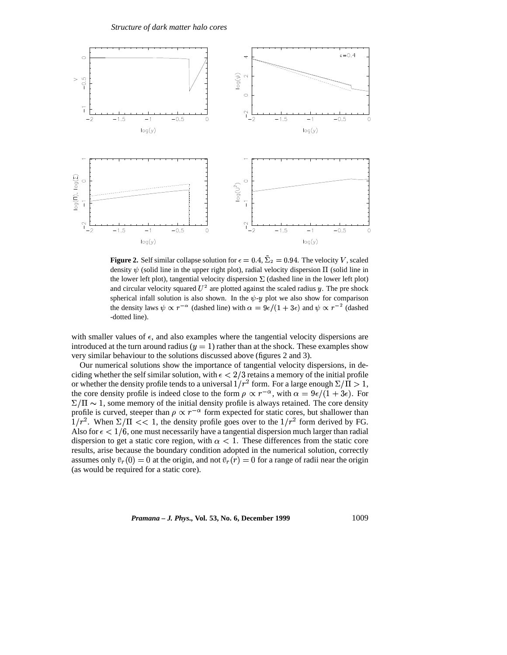

**Figure 2.** Self similar collapse solution for  $\epsilon = 0.4$ ,  $\tilde{\Sigma}_2 = 0.94$ . The velocity V, scaled density  $\psi$  (solid line in the upper right plot), radial velocity dispersion  $\Pi$  (solid line in the lower left plot), tangential velocity dispersion  $\Sigma$  (dashed line in the lower left plot) and circular velocity squared  $U^2$  are plotted against the scaled radius y. The pre shock spherical infall solution is also shown. In the  $\psi$ - $y$  plot we also show for comparison the density laws  $\psi \propto r^{-\alpha}$  (dashed line) with  $\alpha = 9\epsilon/(1+3\epsilon)$  and  $\psi \propto r^{-2}$  (dashed -dotted line).

with smaller values of  $\epsilon$ , and also examples where the tangential velocity dispersions are introduced at the turn around radius  $(y = 1)$  rather than at the shock. These examples show very similar behaviour to the solutions discussed above (figures 2 and 3).

Our numerical solutions show the importance of tangential velocity dispersions, in deciding whether the self similar solution, with  $\epsilon < 2/3$  retains a memory of the initial profile or whether the density profile tends to a universal  $1/r^2$  form. For a large enough  $\Sigma/\Pi > 1$ , the core density profile is indeed close to the form  $\rho \propto r^{-\alpha}$ , with  $\alpha = 9\epsilon/(1+3\epsilon)$ . For  $\Sigma/\Pi \sim 1$ , some memory of the initial density profile is always retained. The core density profile is curved, steeper than  $\rho \propto r^{-\alpha}$  form expected for static cores, but shallower than  $1/r^2$ . When  $\Sigma/\Pi \ll 1$ , the density profile goes over to the  $1/r^2$  form derived by FG. Also for  $\epsilon < 1/6$ , one must necessarily have a tangential dispersion much larger than radial dispersion to get a static core region, with  $\alpha < 1$ . These differences from the static core results, arise because the boundary condition adopted in the numerical solution, correctly assumes only  $\bar{v}_r(0) = 0$  at the origin, and not  $\bar{v}_r(r) = 0$  for a range of radii near the origin (as would be required for a static core).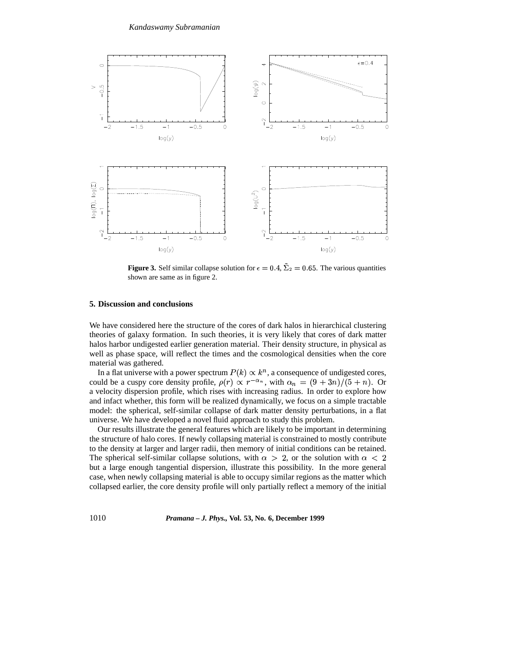

**Figure 3.** Self similar collapse solution for  $\epsilon = 0.4$ ,  $\tilde{\Sigma}_2 = 0.65$ . The various quantities shown are same as in figure 2.

### **5. Discussion and conclusions**

We have considered here the structure of the cores of dark halos in hierarchical clustering theories of galaxy formation. In such theories, it is very likely that cores of dark matter halos harbor undigested earlier generation material. Their density structure, in physical as well as phase space, will reflect the times and the cosmological densities when the core material was gathered.

In a flat universe with a power spectrum  $P(k) \propto k^n$ , a consequence of undigested cores, could be a cuspy core density profile,  $\rho(r) \propto r^{-\alpha_n}$ , with  $\alpha_n = (9 + 3n)/(5 + n)$ . Or a velocity dispersion profile, which rises with increasing radius. In order to explore how and infact whether, this form will be realized dynamically, we focus on a simple tractable model: the spherical, self-similar collapse of dark matter density perturbations, in a flat universe. We have developed a novel fluid approach to study this problem.

Our results illustrate the general features which are likely to be important in determining the structure of halo cores. If newly collapsing material is constrained to mostly contribute to the density at larger and larger radii, then memory of initial conditions can be retained. The spherical self-similar collapse solutions, with  $\alpha > 2$ , or the solution with  $\alpha < 2$ but a large enough tangential dispersion, illustrate this possibility. In the more general case, when newly collapsing material is able to occupy similar regions as the matter which collapsed earlier, the core density profile will only partially reflect a memory of the initial

Pramana - J. Phys., Vol. 53, No. 6, December 1999

1010